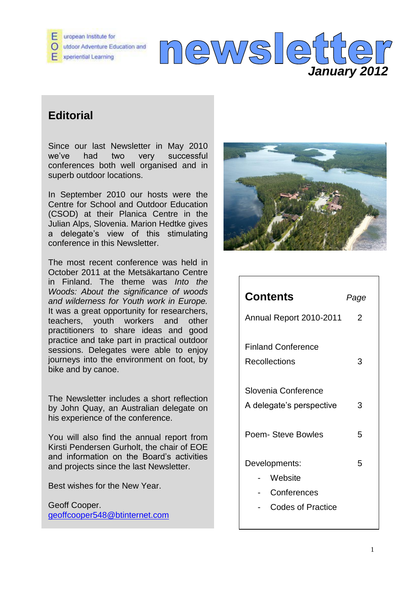

# **Editorial**

Since our last Newsletter in May 2010 we've had two very successful conferences both well organised and in superb outdoor locations.

In September 2010 our hosts were the Centre for School and Outdoor Education (CSOD) at their Planica Centre in the Julian Alps, Slovenia. Marion Hedtke gives a delegate's view of this stimulating conference in this Newsletter.

The most recent conference was held in October 2011 at the Metsäkartano Centre in Finland. The theme was *Into the Woods: About the significance of woods and wilderness for Youth work in Europe.*  It was a great opportunity for researchers, teachers, youth workers and other practitioners to share ideas and good practice and take part in practical outdoor sessions. Delegates were able to enjoy journeys into the environment on foot, by bike and by canoe.

The Newsletter includes a short reflection by John Quay, an Australian delegate on his experience of the conference.

You will also find the annual report from Kirsti Pendersen Gurholt, the chair of EOE and information on the Board's activities and projects since the last Newsletter.

Best wishes for the New Year.

Geoff Cooper. [geoffcooper548@btinternet.com](mailto:geoffcooper548@btinternet.com)



| <b>Contents</b>                                              | Page |
|--------------------------------------------------------------|------|
| Annual Report 2010-2011                                      | 2    |
| <b>Finland Conference</b><br>Recollections                   | 3    |
| Slovenia Conference<br>A delegate's perspective              | 3    |
| Poem- Steve Bowles                                           | 5    |
| Developments:<br>Website<br>Conferences<br>Codes of Practice | 5    |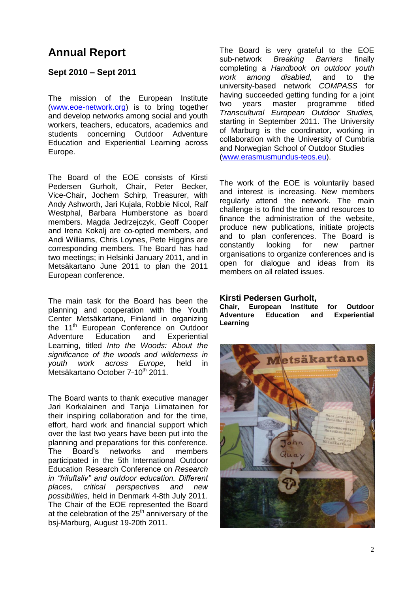# **Annual Report**

### **Sept 2010 – Sept 2011**

The mission of the European Institute [\(www.eoe-network.org\)](http://www.eoe-network.org/) is to bring together and develop networks among social and youth workers, teachers, educators, academics and students concerning Outdoor Adventure Education and Experiential Learning across Europe.

The Board of the EOE consists of Kirsti Pedersen Gurholt, Chair, Peter Becker, Vice-Chair, Jochem Schirp, Treasurer, with Andy Ashworth, Jari Kujala, Robbie Nicol, Ralf Westphal, Barbara Humberstone as board members. Magda Jedrzejczyk, Geoff Cooper and Irena Kokalj are co-opted members, and Andi Williams, Chris Loynes, Pete Higgins are corresponding members. The Board has had two meetings; in Helsinki January 2011, and in Metsäkartano June 2011 to plan the 2011 European conference.

The main task for the Board has been the planning and cooperation with the Youth Center Metsäkartano, Finland in organizing the 11<sup>th</sup> European Conference on Outdoor Adventure Education and Experiential Learning, titled *Into the Woods: About the significance of the woods and wilderness in youth work across Europe,* held in Metsäkartano October 7-10<sup>th</sup> 2011.

The Board wants to thank executive manager Jari Korkalainen and Tanja Liimatainen for their inspiring collaboration and for the time, effort, hard work and financial support which over the last two years have been put into the planning and preparations for this conference. The Board's networks and members participated in the 5th International Outdoor Education Research Conference on *Research in "friluftsliv" and outdoor education. Different places, critical perspectives and new possibilities,* held in Denmark 4-8th July 2011. The Chair of the EOE represented the Board at the celebration of the  $25<sup>th</sup>$  anniversary of the bsj-Marburg, August 19-20th 2011.

The Board is very grateful to the EOE sub-network *Breaking Barriers* finally completing a *Handbook on outdoor youth work among disabled,* and to the university-based network *COMPASS* for having succeeded getting funding for a joint two years master programme titled *Transcultural European Outdoor Studies,* starting in September 2011. The University of Marburg is the coordinator, working in collaboration with the University of Cumbria and Norwegian School of Outdoor Studies [\(www.erasmusmundus-teos.eu\)](http://www.erasmusmundus-teos.eu/).

The work of the EOE is voluntarily based and interest is increasing. New members regularly attend the network. The main challenge is to find the time and resources to finance the administration of the website, produce new publications, initiate projects and to plan conferences. The Board is constantly looking for new partner organisations to organize conferences and is open for dialogue and ideas from its members on all related issues.

#### **Kirsti Pedersen Gurholt,**

**Chair, European Institute for Outdoor Adventure Education and Experiential Learning** 

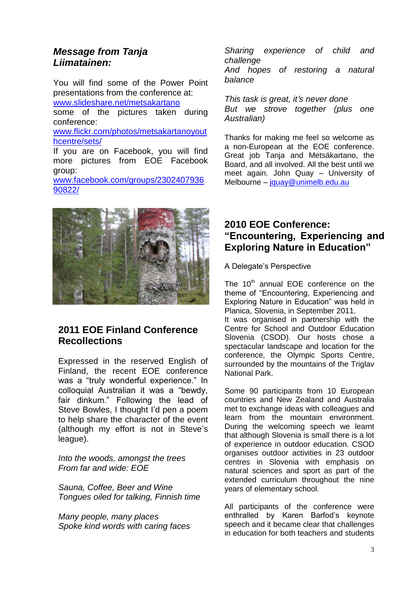## *Message from Tanja Liimatainen:*

[90822/](https://www.facebook.com/groups/230240793690822/%20/%20_blank)

You will find some of the Power Point presentations from the conference at: [www.slideshare.net/metsakartano](http://www.slideshare.net/metsakartano%20/%20_blank) some of the pictures taken during conference: [www.flickr.com/photos/metsakartanoyout](http://www.flickr.com/photos/metsakartanoyouthcentre/sets/%20/%20_blank) [hcentre/sets/](http://www.flickr.com/photos/metsakartanoyouthcentre/sets/%20/%20_blank) If you are on Facebook, you will find more pictures from EOE Facebook group: [www.facebook.com/groups/2302407936](https://www.facebook.com/groups/230240793690822/%20/%20_blank)



# **2011 EOE Finland Conference Recollections**

Expressed in the reserved English of Finland, the recent EOE conference was a "truly wonderful experience." In colloquial Australian it was a "bewdy, fair dinkum." Following the lead of Steve Bowles, I thought I'd pen a poem to help share the character of the event (although my effort is not in Steve's league).

*Into the woods, amongst the trees From far and wide: EOE*

*Sauna, Coffee, Beer and Wine Tongues oiled for talking, Finnish time*

*Many people, many places Spoke kind words with caring faces* *Sharing experience of child and challenge And hopes of restoring a natural balance*

*This task is great, it's never done But we strove together (plus one Australian)*

Thanks for making me feel so welcome as a non-European at the EOE conference. Great job Tanja and Metsäkartano, the Board, and all involved. All the best until we meet again. John Quay – University of Melbourne – [jquay@unimelb.edu.au](mailto:jquay@unimelb.edu.au)

# **2010 EOE Conference: "Encountering, Experiencing and Exploring Nature in Education"**

A Delegate's Perspective

The  $10<sup>th</sup>$  annual EOE conference on the theme of "Encountering, Experiencing and Exploring Nature in Education" was held in Planica, Slovenia, in September 2011. It was organised in partnership with the Centre for School and Outdoor Education Slovenia (CSOD). Our hosts chose a spectacular landscape and location for the conference, the Olympic Sports Centre, surrounded by the mountains of the Triglav National Park.

Some 90 participants from 10 European countries and New Zealand and Australia met to exchange ideas with colleagues and learn from the mountain environment. During the welcoming speech we learnt that although Slovenia is small there is a lot of experience in outdoor education. CSOD organises outdoor activities in 23 outdoor centres in Slovenia with emphasis on natural sciences and sport as part of the extended curriculum throughout the nine years of elementary school.

All participants of the conference were enthralled by Karen Barfod's keynote speech and it became clear that challenges in education for both teachers and students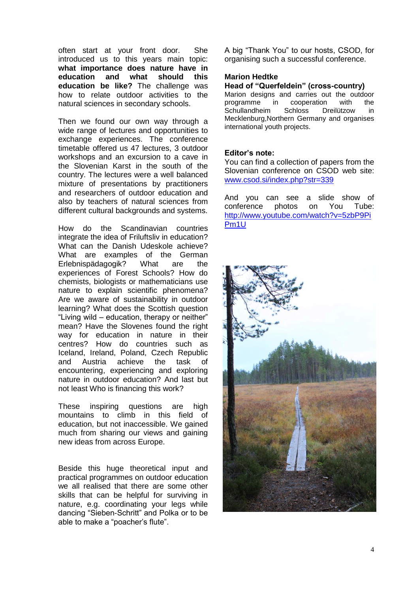often start at your front door. She introduced us to this years main topic: **what importance does nature have in education and what should this education be like?** The challenge was how to relate outdoor activities to the natural sciences in secondary schools.

Then we found our own way through a wide range of lectures and opportunities to exchange experiences. The conference timetable offered us 47 lectures, 3 outdoor workshops and an excursion to a cave in the Slovenian Karst in the south of the country. The lectures were a well balanced mixture of presentations by practitioners and researchers of outdoor education and also by teachers of natural sciences from different cultural backgrounds and systems.

How do the Scandinavian countries integrate the idea of Friluftsliv in education? What can the Danish Udeskole achieve? What are examples of the German Erlebnispädagogik? What are the experiences of Forest Schools? How do chemists, biologists or mathematicians use nature to explain scientific phenomena? Are we aware of sustainability in outdoor learning? What does the Scottish question "Living wild – education, therapy or neither" mean? Have the Slovenes found the right way for education in nature in their centres? How do countries such as Iceland, Ireland, Poland, Czech Republic and Austria achieve the task of encountering, experiencing and exploring nature in outdoor education? And last but not least Who is financing this work?

These inspiring questions are high mountains to climb in this field of education, but not inaccessible. We gained much from sharing our views and gaining new ideas from across Europe.

Beside this huge theoretical input and practical programmes on outdoor education we all realised that there are some other skills that can be helpful for surviving in nature, e.g. coordinating your legs while dancing "Sieben-Schritt" and Polka or to be able to make a "poacher's flute".

A big "Thank You" to our hosts, CSOD, for organising such a successful conference.

#### **Marion Hedtke**

#### **Head of "Querfeldein" (cross-country)**

Marion designs and carries out the outdoor programme in cooperation with the Schullandheim Schloss Dreilützow in Mecklenburg,Northern Germany and organises international youth projects.

### **Editor's note:**

You can find a collection of papers from the Slovenian conference on CSOD web site: [www.csod.si/index.php?str=339](http://www.csod.si/index.php?str=339)

And you can see a slide show of conference photos on You Tube: [http://www.youtube.com/watch?v=5zbP9Pi](http://www.youtube.com/watch?v=5zbP9PiPm1U) [Pm1U](http://www.youtube.com/watch?v=5zbP9PiPm1U)

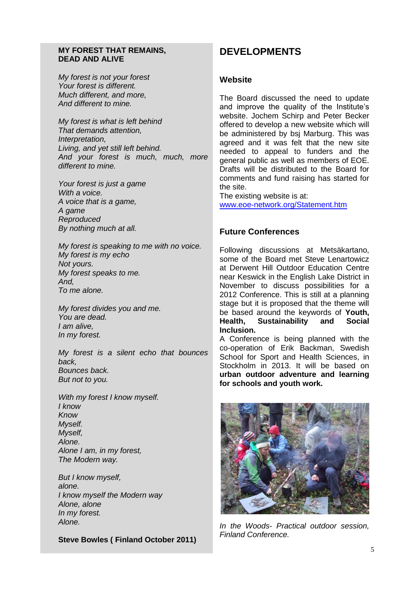#### **MY FOREST THAT REMAINS, DEAD AND ALIVE**

*My forest is not your forest Your forest is different. Much different, and more, And different to mine.*

*My forest is what is left behind That demands attention, Interpretation, Living, and yet still left behind. And your forest is much, much, more different to mine.*

*Your forest is just a game With a voice. A voice that is a game, A game Reproduced By nothing much at all.*

*My forest is speaking to me with no voice. My forest is my echo Not yours. My forest speaks to me. And, To me alone.*

*My forest divides you and me. You are dead. I am alive, In my forest.*

*My forest is a silent echo that bounces back, Bounces back. But not to you.*

*With my forest I know myself. I know Know Myself. Myself, Alone. Alone I am, in my forest, The Modern way.*

*But I know myself, alone. I know myself the Modern way Alone, alone In my forest. Alone.*

**Steve Bowles ( Finland October 2011)**

# **DEVELOPMENTS**

### **Website**

The Board discussed the need to update and improve the quality of the Institute's website. Jochem Schirp and Peter Becker offered to develop a new website which will be administered by bsj Marburg. This was agreed and it was felt that the new site needed to appeal to funders and the general public as well as members of EOE. Drafts will be distributed to the Board for comments and fund raising has started for the site.

The existing website is at: [www.eoe-network.org/Statement.htm](http://www.eoe-network.org/Statement.htm)

## **Future Conferences**

Following discussions at Metsäkartano, some of the Board met Steve Lenartowicz at Derwent Hill Outdoor Education Centre near Keswick in the English Lake District in November to discuss possibilities for a 2012 Conference. This is still at a planning stage but it is proposed that the theme will be based around the keywords of **Youth, Health, Sustainability and Social Inclusion.**

A Conference is being planned with the co-operation of Erik Backman, Swedish School for Sport and Health Sciences, in Stockholm in 2013. It will be based on **urban outdoor adventure and learning for schools and youth work.**



*In the Woods- Practical outdoor session, Finland Conference.*